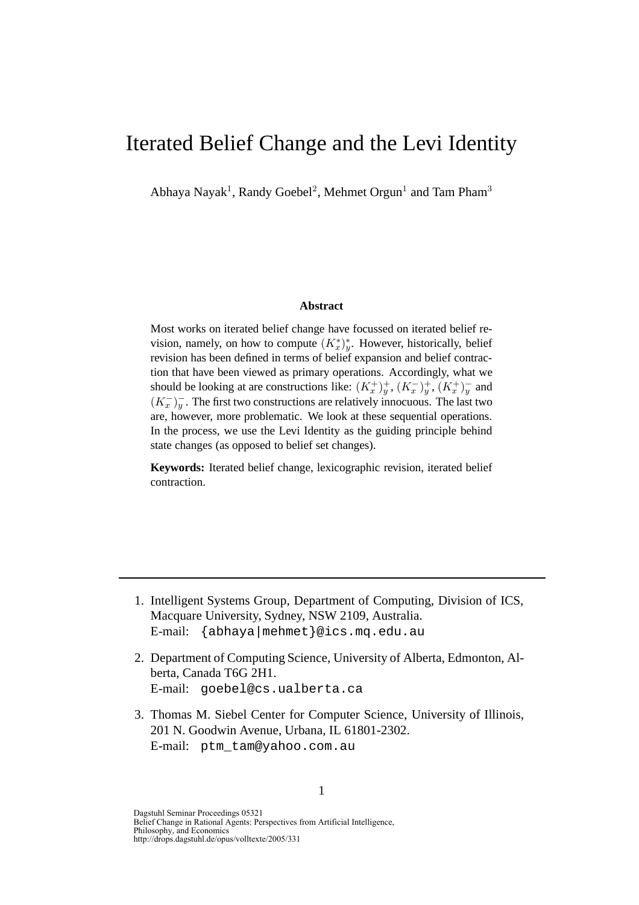# Iterated Belief Change and the Levi Identity

Abhaya Nayak<sup>1</sup>, Randy Goebel<sup>2</sup>, Mehmet Orgun<sup>1</sup> and Tam Pham<sup>3</sup>

#### **Abstract**

Most works on iterated belief change have focussed on iterated belief revision, namely, on how to compute  $(K_x^*)_y^*$ . However, historically, belief revision has been defined in terms of belief expansion and belief contraction that have been viewed as primary operations. Accordingly, what we should be looking at are constructions like:  $(K_x^+)_y^+$ ,  $(K_x^-)_y^+$ ,  $(K_x^+)_y^-$  and  $(K_x^-)_y^-$ . The first two constructions are relatively innocuous. The last two are, however, more problematic. We look at these sequential operations. In the process, we use the Levi Identity as the guiding principle behind state changes (as opposed to belief set changes).

**Keywords:** Iterated belief change, lexicographic revision, iterated belief contraction.

- 1. Intelligent Systems Group, Department of Computing, Division of ICS, Macquare University, Sydney, NSW 2109, Australia. E-mail: {abhaya|mehmet}@ics.mq.edu.au
- 2. Department of Computing Science, University of Alberta, Edmonton, Alberta, Canada T6G 2H1. E-mail: goebel@cs.ualberta.ca
- 3. Thomas M. Siebel Center for Computer Science, University of Illinois, 201 N. Goodwin Avenue, Urbana, IL 61801-2302. E-mail: ptm\_tam@yahoo.com.au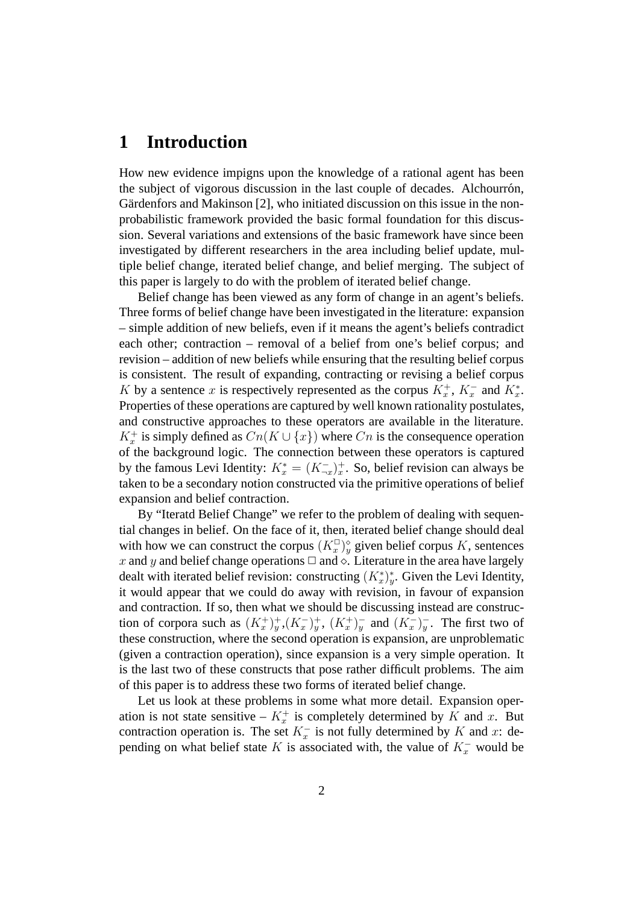### **1 Introduction**

How new evidence impigns upon the knowledge of a rational agent has been the subject of vigorous discussion in the last couple of decades. Alchourrón, Gärdenfors and Makinson [2], who initiated discussion on this issue in the nonprobabilistic framework provided the basic formal foundation for this discussion. Several variations and extensions of the basic framework have since been investigated by different researchers in the area including belief update, multiple belief change, iterated belief change, and belief merging. The subject of this paper is largely to do with the problem of iterated belief change.

Belief change has been viewed as any form of change in an agent's beliefs. Three forms of belief change have been investigated in the literature: expansion – simple addition of new beliefs, even if it means the agent's beliefs contradict each other; contraction – removal of a belief from one's belief corpus; and revision – addition of new beliefs while ensuring that the resulting belief corpus is consistent. The result of expanding, contracting or revising a belief corpus K by a sentence x is respectively represented as the corpus  $K_x^+$ ,  $K_x^-$  and  $K_x^*$ . Properties of these operations are captured by well known rationality postulates, and constructive approaches to these operators are available in the literature.  $K_x^+$  is simply defined as  $Cn(K \cup \{x\})$  where  $Cn$  is the consequence operation of the background logic. The connection between these operators is captured by the famous Levi Identity:  $K_x^* = (K_{-x}^-)_x^+$ . So, belief revision can always be taken to be a secondary notion constructed via the primitive operations of belief expansion and belief contraction.

By "Iteratd Belief Change" we refer to the problem of dealing with sequential changes in belief. On the face of it, then, iterated belief change should deal with how we can construct the corpus  $(K_x^{\square})_y^{\diamond}$  given belief corpus K, sentences x and y and belief change operations  $\Box$  and  $\Diamond$ . Literature in the area have largely dealt with iterated belief revision: constructing  $(K_x^*)_y^*$ . Given the Levi Identity, it would appear that we could do away with revision, in favour of expansion and contraction. If so, then what we should be discussing instead are construction of corpora such as  $(K_x^+)_y^+, (K_x^-)_y^+, (K_x^+)_y^-$  and  $(K_x^-)_y^-$ . The first two of these construction, where the second operation is expansion, are unproblematic (given a contraction operation), since expansion is a very simple operation. It is the last two of these constructs that pose rather difficult problems. The aim of this paper is to address these two forms of iterated belief change.

Let us look at these problems in some what more detail. Expansion operation is not state sensitive –  $K_x^+$  is completely determined by K and x. But contraction operation is. The set  $K_x^-$  is not fully determined by K and x: depending on what belief state K is associated with, the value of  $K_x^-$  would be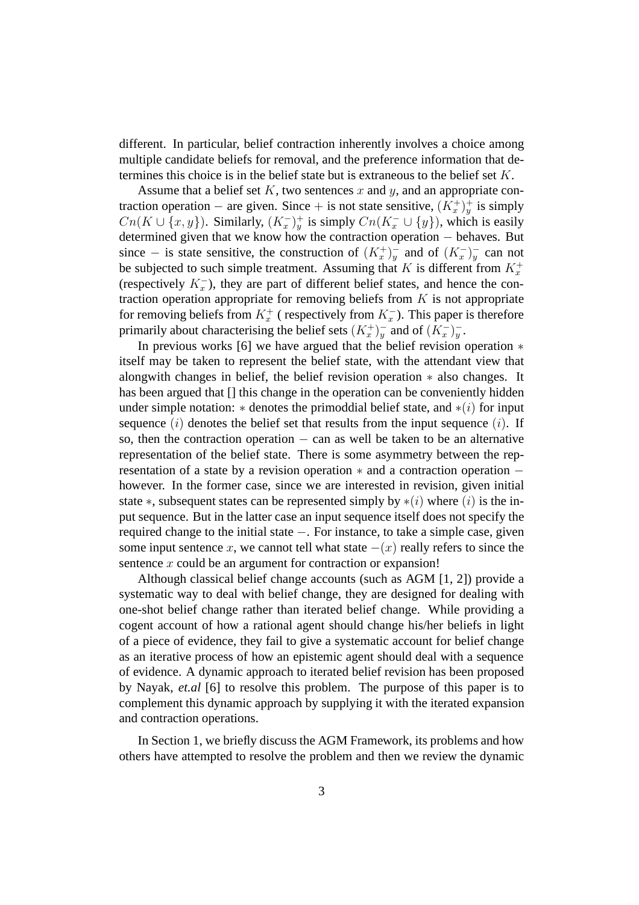different. In particular, belief contraction inherently involves a choice among multiple candidate beliefs for removal, and the preference information that determines this choice is in the belief state but is extraneous to the belief set  $K$ .

Assume that a belief set  $K$ , two sentences  $x$  and  $y$ , and an appropriate contraction operation – are given. Since + is not state sensitive,  $(K_x^+)_y^+$  is simply  $Cn(K \cup \{x, y\})$ . Similarly,  $(K_x^-)_y^+$  is simply  $Cn(K_x^- \cup \{y\})$ , which is easily determined given that we know how the contraction operation − behaves. But since – is state sensitive, the construction of  $(K_x^+)^-$  and of  $(K_x^-)^-$  can not be subjected to such simple treatment. Assuming that K is different from  $K_x^+$ (respectively  $K_x^-$ ), they are part of different belief states, and hence the contraction operation appropriate for removing beliefs from  $K$  is not appropriate for removing beliefs from  $K_x^+$  (respectively from  $K_x^-$ ). This paper is therefore primarily about characterising the belief sets  $(K_x^+)^-$  and of  $(K_x^-)^-$ .

In previous works [6] we have argued that the belief revision operation ∗ itself may be taken to represent the belief state, with the attendant view that alongwith changes in belief, the belief revision operation ∗ also changes. It has been argued that [] this change in the operation can be conveniently hidden under simple notation:  $*$  denotes the primoddial belief state, and  $*(i)$  for input sequence  $(i)$  denotes the belief set that results from the input sequence  $(i)$ . If so, then the contraction operation  $-$  can as well be taken to be an alternative representation of the belief state. There is some asymmetry between the representation of a state by a revision operation ∗ and a contraction operation − however. In the former case, since we are interested in revision, given initial state  $\ast$ , subsequent states can be represented simply by  $\ast(i)$  where  $(i)$  is the input sequence. But in the latter case an input sequence itself does not specify the required change to the initial state −. For instance, to take a simple case, given some input sentence x, we cannot tell what state  $-(x)$  really refers to since the sentence x could be an argument for contraction or expansion!

Although classical belief change accounts (such as AGM [1, 2]) provide a systematic way to deal with belief change, they are designed for dealing with one-shot belief change rather than iterated belief change. While providing a cogent account of how a rational agent should change his/her beliefs in light of a piece of evidence, they fail to give a systematic account for belief change as an iterative process of how an epistemic agent should deal with a sequence of evidence. A dynamic approach to iterated belief revision has been proposed by Nayak, *et.al* [6] to resolve this problem. The purpose of this paper is to complement this dynamic approach by supplying it with the iterated expansion and contraction operations.

In Section 1, we briefly discuss the AGM Framework, its problems and how others have attempted to resolve the problem and then we review the dynamic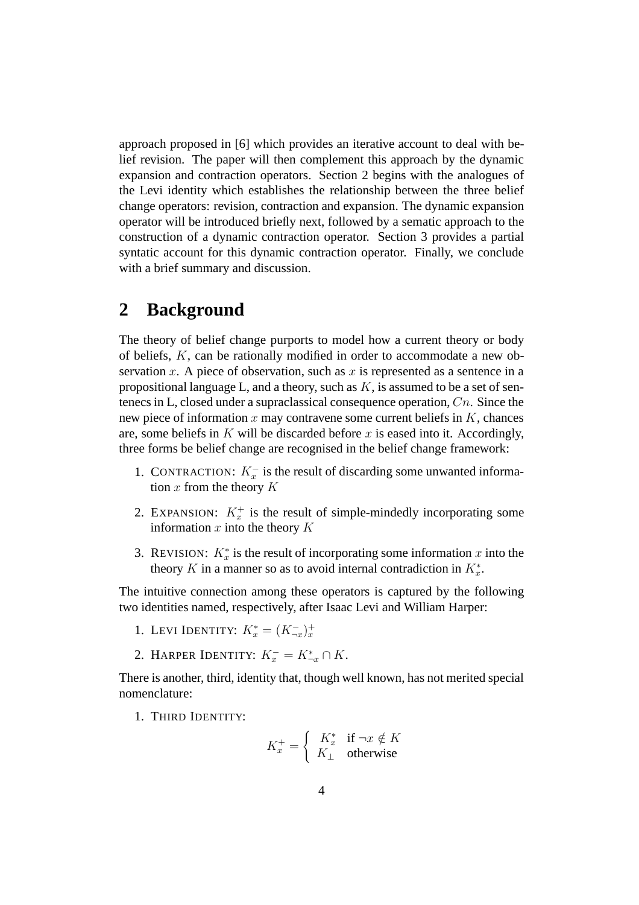approach proposed in [6] which provides an iterative account to deal with belief revision. The paper will then complement this approach by the dynamic expansion and contraction operators. Section 2 begins with the analogues of the Levi identity which establishes the relationship between the three belief change operators: revision, contraction and expansion. The dynamic expansion operator will be introduced briefly next, followed by a sematic approach to the construction of a dynamic contraction operator. Section 3 provides a partial syntatic account for this dynamic contraction operator. Finally, we conclude with a brief summary and discussion.

### **2 Background**

The theory of belief change purports to model how a current theory or body of beliefs, K, can be rationally modified in order to accommodate a new observation x. A piece of observation, such as x is represented as a sentence in a propositional language L, and a theory, such as  $K$ , is assumed to be a set of sentenecs in L, closed under a supraclassical consequence operation,  $C_n$ . Since the new piece of information  $x$  may contravene some current beliefs in  $K$ , chances are, some beliefs in  $K$  will be discarded before  $x$  is eased into it. Accordingly, three forms be belief change are recognised in the belief change framework:

- 1. CONTRACTION:  $K_x^-$  is the result of discarding some unwanted information  $x$  from the theory  $K$
- 2. EXPANSION:  $K_x^+$  is the result of simple-mindedly incorporating some information  $x$  into the theory  $K$
- 3. REVISION:  $K_x^*$  is the result of incorporating some information x into the theory K in a manner so as to avoid internal contradiction in  $K_x^*$ .

The intuitive connection among these operators is captured by the following two identities named, respectively, after Isaac Levi and William Harper:

- 1. LEVI IDENTITY:  $K_x^* = (K_{\neg x}^-)_x^+$
- 2. HARPER IDENTITY:  $K_x^- = K_{\neg x}^* \cap K$ .

There is another, third, identity that, though well known, has not merited special nomenclature:

1. THIRD IDENTITY:

$$
K_x^+ = \begin{cases} K_x^* & \text{if } \neg x \notin K \\ K_\perp & \text{otherwise} \end{cases}
$$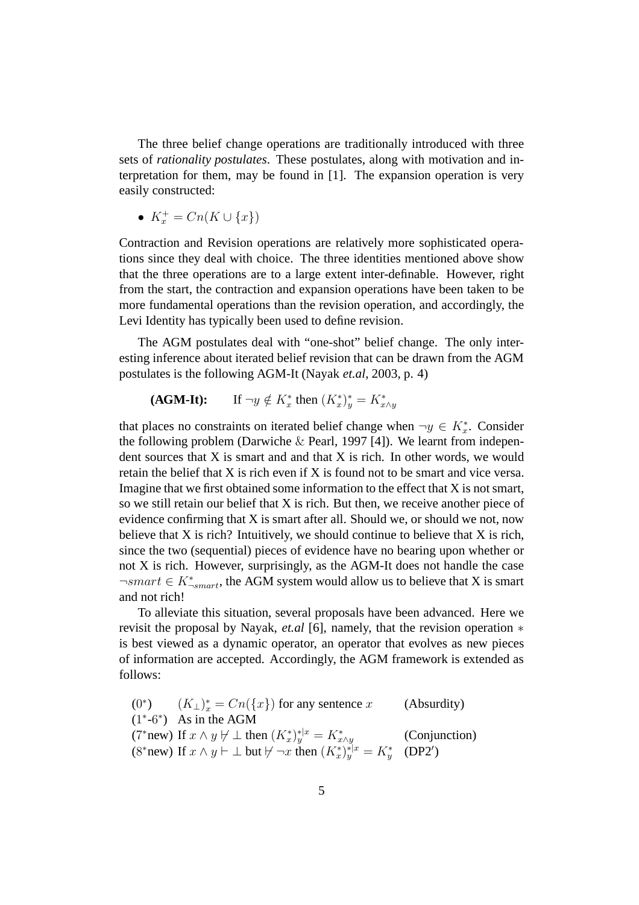The three belief change operations are traditionally introduced with three sets of *rationality postulates*. These postulates, along with motivation and interpretation for them, may be found in [1]. The expansion operation is very easily constructed:

$$
\bullet \ \ K_x^+ = Cn(K \cup \{x\})
$$

Contraction and Revision operations are relatively more sophisticated operations since they deal with choice. The three identities mentioned above show that the three operations are to a large extent inter-definable. However, right from the start, the contraction and expansion operations have been taken to be more fundamental operations than the revision operation, and accordingly, the Levi Identity has typically been used to define revision.

The AGM postulates deal with "one-shot" belief change. The only interesting inference about iterated belief revision that can be drawn from the AGM postulates is the following AGM-It (Nayak *et.al*, 2003, p. 4)

$$
(\mathbf{AGM\text{-}It}): \qquad \text{If } \neg y \notin K_x^* \text{ then } (K_x^*)_y^* = K_{x \wedge y}^*
$$

that places no constraints on iterated belief change when  $\neg y \in K_x^*$ . Consider the following problem (Darwiche  $\&$  Pearl, 1997 [4]). We learnt from independent sources that  $X$  is smart and and that  $X$  is rich. In other words, we would retain the belief that X is rich even if X is found not to be smart and vice versa. Imagine that we first obtained some information to the effect that X is not smart, so we still retain our belief that X is rich. But then, we receive another piece of evidence confirming that X is smart after all. Should we, or should we not, now believe that  $X$  is rich? Intuitively, we should continue to believe that  $X$  is rich, since the two (sequential) pieces of evidence have no bearing upon whether or not X is rich. However, surprisingly, as the AGM-It does not handle the case  $\neg smart \in K^*_{\neg smart}$ , the AGM system would allow us to believe that X is smart and not rich!

To alleviate this situation, several proposals have been advanced. Here we revisit the proposal by Nayak, *et.al* [6], namely, that the revision operation ∗ is best viewed as a dynamic operator, an operator that evolves as new pieces of information are accepted. Accordingly, the AGM framework is extended as follows:

(0<sup>\*</sup>)  $(K_{\perp})_x^* = Cn({x})$  for any sentence x (Absurdity)  $(1^*$ -6<sup>∗</sup>) As in the AGM (7\*new) If  $x \wedge y \not\vdash \bot$  then  $(K_x^*)^{\ast|x}_{y} = K_{x \wedge y}^*$  (Conjunction) (8\*new) If  $x \wedge y \vdash \bot$  but  $\nvdash \neg x$  then  $(K_x^*)_y^{*\vert x} = K_y^*$  $y^*$  (DP2')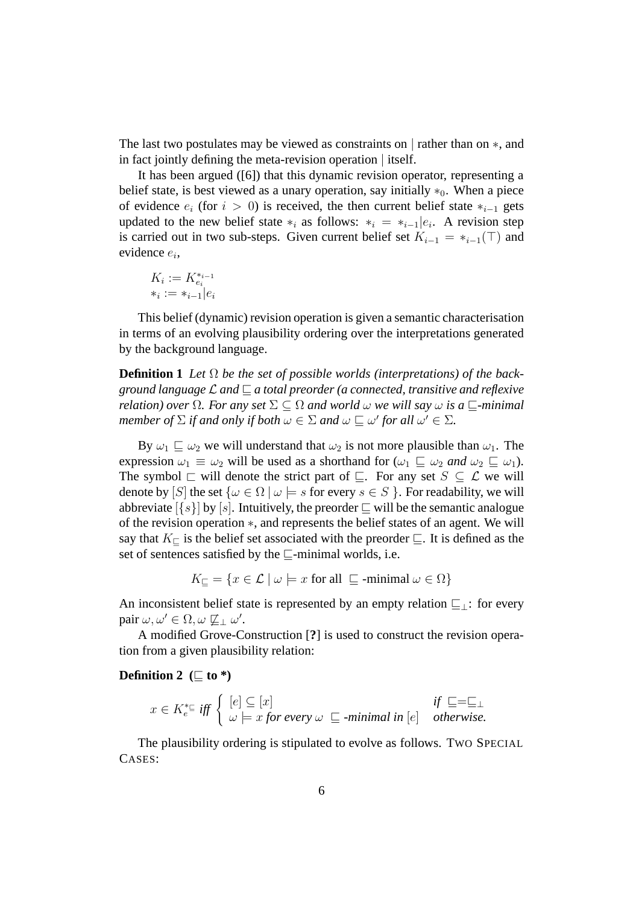The last two postulates may be viewed as constraints on | rather than on ∗, and in fact jointly defining the meta-revision operation | itself.

It has been argued ([6]) that this dynamic revision operator, representing a belief state, is best viewed as a unary operation, say initially  $*_0$ . When a piece of evidence  $e_i$  (for  $i > 0$ ) is received, the then current belief state  $*_{i-1}$  gets updated to the new belief state  $*_i$  as follows:  $*_i = \frac{1}{i-1} |e_i|$ . A revision step is carried out in two sub-steps. Given current belief set  $K_{i-1} = *_{i-1}(\top)$  and evidence ei,

$$
K_i := K_{e_i}^{*_{i-1}}
$$
  

$$
*_i := *_{i-1} | e_i
$$

This belief (dynamic) revision operation is given a semantic characterisation in terms of an evolving plausibility ordering over the interpretations generated by the background language.

**Definition 1** Let  $\Omega$  be the set of possible worlds (interpretations) of the back*ground language*  $\mathcal L$  *and*  $\sqsubseteq$  *a total preorder* (*a connected, transitive and reflexive relation) over*  $\Omega$ *. For any set*  $\Sigma \subseteq \Omega$  *and world*  $\omega$  *we will say*  $\omega$  *is a*  $\Box$ *-minimal member of*  $\Sigma$  *if and only if both*  $\omega \in \Sigma$  *and*  $\omega \subset \omega'$  *for all*  $\omega' \in \Sigma$ *.* 

By  $\omega_1 \sqsubseteq \omega_2$  we will understand that  $\omega_2$  is not more plausible than  $\omega_1$ . The expression  $\omega_1 \equiv \omega_2$  will be used as a shorthand for  $(\omega_1 \sqsubseteq \omega_2 \text{ and } \omega_2 \sqsubseteq \omega_1)$ . The symbol  $\sqsubset$  will denote the strict part of  $\sqsubseteq$ . For any set  $S \subseteq \mathcal{L}$  we will denote by [S] the set  $\{\omega \in \Omega \mid \omega \models s \text{ for every } s \in S \}$ . For readability, we will abbreviate  $\{s\}$  by  $[s]$ . Intuitively, the preorder  $\subseteq$  will be the semantic analogue of the revision operation ∗, and represents the belief states of an agent. We will say that  $K_{\square}$  is the belief set associated with the preorder  $\sqsubseteq$ . It is defined as the set of sentences satisfied by the  $\Box$ -minimal worlds, i.e.

 $K_{\square} = \{x \in \mathcal{L} \mid \omega \models x \text{ for all } \subseteq \text{-minimal } \omega \in \Omega\}$ 

An inconsistent belief state is represented by an empty relation  $\sqsubseteq$ <sub>⊥</sub>: for every pair  $\omega, \omega' \in \Omega, \omega \not\sqsubseteq_{\perp} \omega'.$ 

A modified Grove-Construction [**?**] is used to construct the revision operation from a given plausibility relation:

#### **Definition 2** ( $\sqsubset$  to \*)

$$
x \in K_e^{* \sqsubseteq} \text{ iff } \begin{cases} [e] \subseteq [x] & \text{if } \sqsubseteq = \sqsubseteq \bot \\ \omega \models x \text{ for every } \omega \sqsubseteq \text{-minimal in } [e] & \text{otherwise.} \end{cases}
$$

The plausibility ordering is stipulated to evolve as follows. TWO SPECIAL CASES: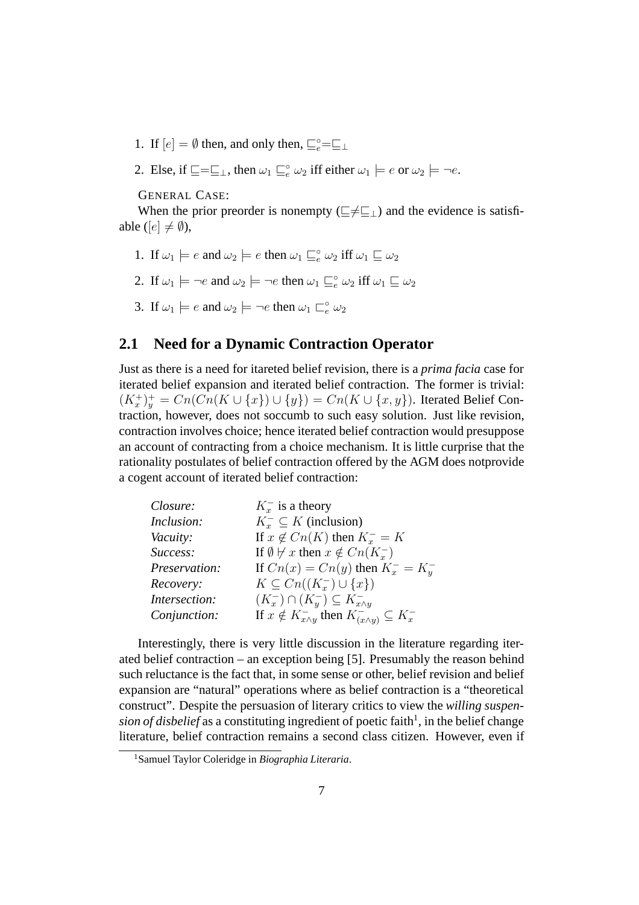- 1. If  $[e] = \emptyset$  then, and only then,  $\sqsubseteq_e^{\circ} = \sqsubseteq_{\perp}$
- 2. Else, if  $\square = \sqsubseteq_{\bot}$ , then  $\omega_1 \sqsubseteq_e^{\circ} \omega_2$  iff either  $\omega_1 \models e$  or  $\omega_2 \models \neg e$ .

GENERAL CASE:

When the prior preorder is nonempty ( $\subseteq \neq \subseteq$ <sub>⊥</sub>) and the evidence is satisfiable ( $[e] \neq \emptyset$ ),

- 1. If  $\omega_1 \models e$  and  $\omega_2 \models e$  then  $\omega_1 \sqsubseteq_e^{\circ} \omega_2$  iff  $\omega_1 \sqsubseteq \omega_2$
- 2. If  $\omega_1 \models \neg e$  and  $\omega_2 \models \neg e$  then  $\omega_1 \sqsubseteq_e^{\circ} \omega_2$  iff  $\omega_1 \sqsubseteq \omega_2$
- 3. If  $\omega_1 \models e$  and  $\omega_2 \models \neg e$  then  $\omega_1 \sqsubset^{\circ}_e \omega_2$

### **2.1 Need for a Dynamic Contraction Operator**

Just as there is a need for itareted belief revision, there is a *prima facia* case for iterated belief expansion and iterated belief contraction. The former is trivial:  $(K_x^+)_y^+ = Cn(Cn(K \cup \{x\}) \cup \{y\}) = Cn(K \cup \{x,y\})$ . Iterated Belief Contraction, however, does not soccumb to such easy solution. Just like revision, contraction involves choice; hence iterated belief contraction would presuppose an account of contracting from a choice mechanism. It is little curprise that the rationality postulates of belief contraction offered by the AGM does notprovide a cogent account of iterated belief contraction:

| Closure:      | $K_{\tau}^-$ is a theory                                                 |
|---------------|--------------------------------------------------------------------------|
| Inclusion:    | $K_r^- \subseteq K$ (inclusion)                                          |
| Vacuity:      | If $x \notin Cn(K)$ then $K_r^- = K$                                     |
| Success:      | If $\emptyset \not\vdash x$ then $x \notin Cn(K_x^-)$                    |
| Preservation: | If $Cn(x) = Cn(y)$ then $K_x^- = K_y^-$                                  |
| Recovery:     | $K \subseteq Cn((K_{r}^{-}) \cup \{x\})$                                 |
| Intersection: | $(K_x^-)\cap(K_y^-)\subseteq K_{x\wedge y}^-$                            |
| Conjunction:  | If $x \notin K_{x \wedge y}^-$ then $K_{(x \wedge y)}^- \subseteq K_x^-$ |

Interestingly, there is very little discussion in the literature regarding iterated belief contraction – an exception being [5]. Presumably the reason behind such reluctance is the fact that, in some sense or other, belief revision and belief expansion are "natural" operations where as belief contraction is a "theoretical construct". Despite the persuasion of literary critics to view the *willing suspen*sion of disbelief as a constituting ingredient of poetic faith<sup>1</sup>, in the belief change literature, belief contraction remains a second class citizen. However, even if

<sup>1</sup>Samuel Taylor Coleridge in *Biographia Literaria*.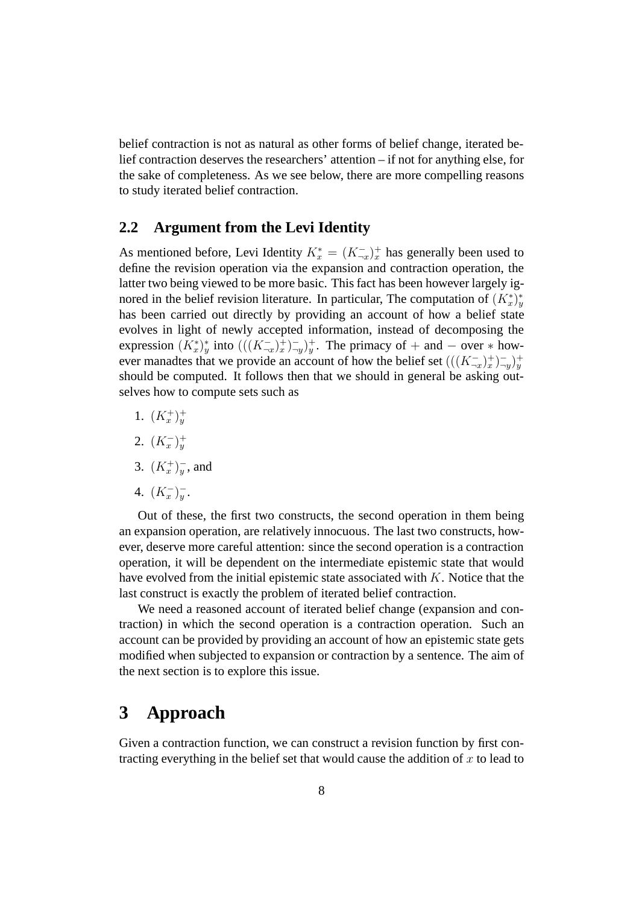belief contraction is not as natural as other forms of belief change, iterated belief contraction deserves the researchers' attention – if not for anything else, for the sake of completeness. As we see below, there are more compelling reasons to study iterated belief contraction.

#### **2.2 Argument from the Levi Identity**

As mentioned before, Levi Identity  $K_x^* = (K_{-x}^-)_x^+$  has generally been used to define the revision operation via the expansion and contraction operation, the latter two being viewed to be more basic. This fact has been however largely ignored in the belief revision literature. In particular, The computation of  $(K_x^*)^*_y$ has been carried out directly by providing an account of how a belief state evolves in light of newly accepted information, instead of decomposing the expression  $(K_x^*)^*_y$  into  $(((K_{\neg x})^+_x)^-_y)^+_y$ . The primacy of + and  $-$  over  $*$  however manadtes that we provide an account of how the belief set  $(((K_{\neg x}^{-})_{x}^{+})_{\neg y}^{-})_{y}^{+}$ should be computed. It follows then that we should in general be asking outselves how to compute sets such as

- 1.  $(K_x^+)_y^+$
- 2.  $(K_x^-)_y^+$
- 3.  $(K_x^+)_y^-$ , and
- 4.  $(K_x^-)_y^-$ .

Out of these, the first two constructs, the second operation in them being an expansion operation, are relatively innocuous. The last two constructs, however, deserve more careful attention: since the second operation is a contraction operation, it will be dependent on the intermediate epistemic state that would have evolved from the initial epistemic state associated with  $K$ . Notice that the last construct is exactly the problem of iterated belief contraction.

We need a reasoned account of iterated belief change (expansion and contraction) in which the second operation is a contraction operation. Such an account can be provided by providing an account of how an epistemic state gets modified when subjected to expansion or contraction by a sentence. The aim of the next section is to explore this issue.

## **3 Approach**

Given a contraction function, we can construct a revision function by first contracting everything in the belief set that would cause the addition of  $x$  to lead to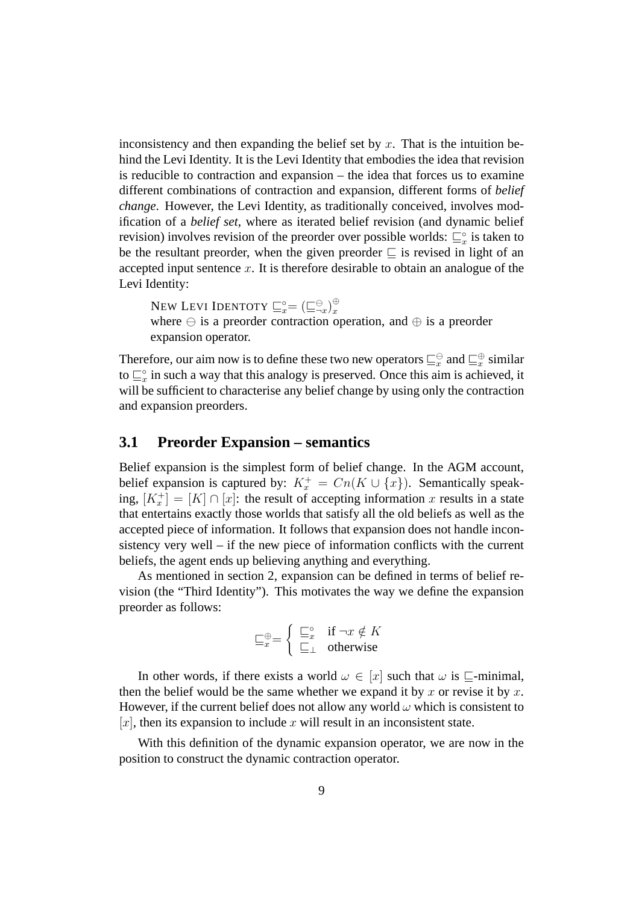inconsistency and then expanding the belief set by  $x$ . That is the intuition behind the Levi Identity. It is the Levi Identity that embodies the idea that revision is reducible to contraction and expansion – the idea that forces us to examine different combinations of contraction and expansion, different forms of *belief change*. However, the Levi Identity, as traditionally conceived, involves modification of a *belief set*, where as iterated belief revision (and dynamic belief revision) involves revision of the preorder over possible worlds:  $\sqsubseteq_{x}^{\circ}$  is taken to be the resultant preorder, when the given preorder  $\Box$  is revised in light of an accepted input sentence  $x$ . It is therefore desirable to obtain an analogue of the Levi Identity:

NEW LEVI IDENTOTY  $\sqsubseteq_x^{\circ} = (\sqsubseteq_{\neg x}^{\ominus})_x^{\oplus}$ where  $\ominus$  is a preorder contraction operation, and  $\oplus$  is a preorder expansion operator.

Therefore, our aim now is to define these two new operators  $\sqsubseteq^\oplus_x$  and  $\sqsubseteq^\oplus_x$  similar to  $\sqsubseteq_x^{\circ}$  in such a way that this analogy is preserved. Once this aim is achieved, it will be sufficient to characterise any belief change by using only the contraction and expansion preorders.

#### **3.1 Preorder Expansion – semantics**

Belief expansion is the simplest form of belief change. In the AGM account, belief expansion is captured by:  $K_x^+ = Cn(K \cup \{x\})$ . Semantically speaking,  $[K_x^+] = [K] \cap [x]$ : the result of accepting information x results in a state that entertains exactly those worlds that satisfy all the old beliefs as well as the accepted piece of information. It follows that expansion does not handle inconsistency very well – if the new piece of information conflicts with the current beliefs, the agent ends up believing anything and everything.

As mentioned in section 2, expansion can be defined in terms of belief revision (the "Third Identity"). This motivates the way we define the expansion preorder as follows:

$$
\sqsubseteq_x^{\oplus} = \left\{ \begin{array}{ll} \sqsubseteq_x^{\circ} & \text{if } \neg x \notin K \\ \sqsubseteq_{\perp} & \text{otherwise} \end{array} \right.
$$

In other words, if there exists a world  $\omega \in [x]$  such that  $\omega$  is  $\Box$ -minimal, then the belief would be the same whether we expand it by x or revise it by x. However, if the current belief does not allow any world  $\omega$  which is consistent to  $[x]$ , then its expansion to include x will result in an inconsistent state.

With this definition of the dynamic expansion operator, we are now in the position to construct the dynamic contraction operator.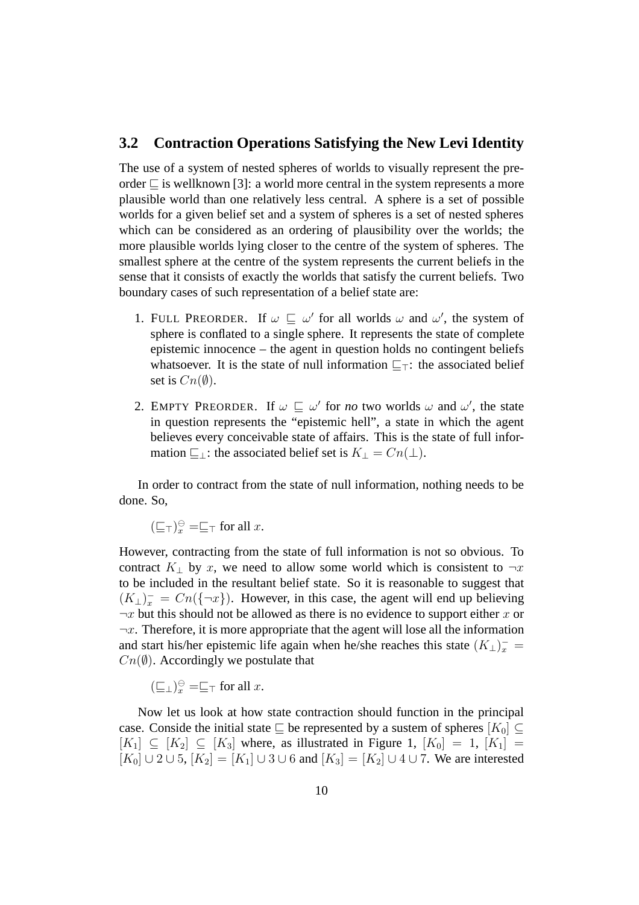#### **3.2 Contraction Operations Satisfying the New Levi Identity**

The use of a system of nested spheres of worlds to visually represent the preorder  $\Box$  is wellknown [3]: a world more central in the system represents a more plausible world than one relatively less central. A sphere is a set of possible worlds for a given belief set and a system of spheres is a set of nested spheres which can be considered as an ordering of plausibility over the worlds; the more plausible worlds lying closer to the centre of the system of spheres. The smallest sphere at the centre of the system represents the current beliefs in the sense that it consists of exactly the worlds that satisfy the current beliefs. Two boundary cases of such representation of a belief state are:

- 1. FULL PREORDER. If  $\omega \subseteq \omega'$  for all worlds  $\omega$  and  $\omega'$ , the system of sphere is conflated to a single sphere. It represents the state of complete epistemic innocence – the agent in question holds no contingent beliefs whatsoever. It is the state of null information  $\sqsubseteq$ <sub>T</sub>: the associated belief set is  $Cn(\emptyset)$ .
- 2. EMPTY PREORDER. If  $\omega \sqsubseteq \omega'$  for *no* two worlds  $\omega$  and  $\omega'$ , the state in question represents the "epistemic hell", a state in which the agent believes every conceivable state of affairs. This is the state of full information  $\sqsubseteq$ <sub>⊥</sub>: the associated belief set is  $K_{\perp} = Cn(\perp)$ .

In order to contract from the state of null information, nothing needs to be done. So,

 $(\sqsubseteq_{\top})^{\ominus}_{x} = \sqsubseteq_{\top}$  for all  $x$ .

However, contracting from the state of full information is not so obvious. To contract K<sub>⊥</sub> by x, we need to allow some world which is consistent to  $\neg x$ to be included in the resultant belief state. So it is reasonable to suggest that  $(K_{\perp})_x^- = Cn(\{-x\})$ . However, in this case, the agent will end up believing  $\neg x$  but this should not be allowed as there is no evidence to support either x or  $\neg x$ . Therefore, it is more appropriate that the agent will lose all the information and start his/her epistemic life again when he/she reaches this state  $(K_{\perp})_x^-$  =  $Cn(\emptyset)$ . Accordingly we postulate that

 $(\sqsubseteq_{\perp})^{\ominus}_{x} = \sqsubseteq_{\top}$  for all  $x$ .

Now let us look at how state contraction should function in the principal case. Conside the initial state  $\Box$  be represented by a sustem of spheres  $[K_0] \subset$  $[K_1] \subseteq [K_2] \subseteq [K_3]$  where, as illustrated in Figure 1,  $[K_0] = 1$ ,  $[K_1] =$  $[K_0] \cup 2 \cup 5$ ,  $[K_2] = [K_1] \cup 3 \cup 6$  and  $[K_3] = [K_2] \cup 4 \cup 7$ . We are interested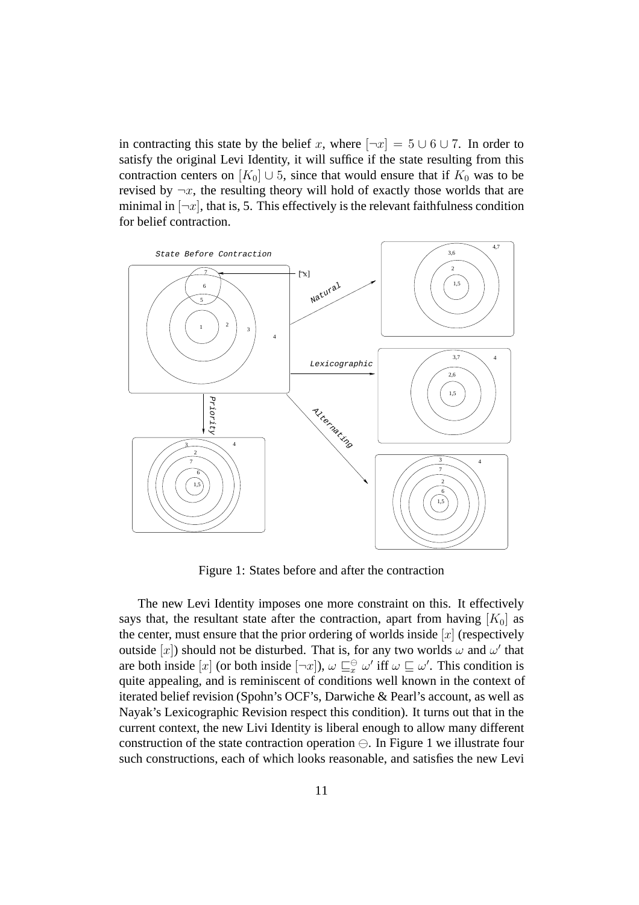in contracting this state by the belief x, where  $\lceil \neg x \rceil = 5 \cup 6 \cup 7$ . In order to satisfy the original Levi Identity, it will suffice if the state resulting from this contraction centers on  $[K_0] \cup 5$ , since that would ensure that if  $K_0$  was to be revised by  $\neg x$ , the resulting theory will hold of exactly those worlds that are minimal in  $[\neg x]$ , that is, 5. This effectively is the relevant faithfulness condition for belief contraction.



Figure 1: States before and after the contraction

The new Levi Identity imposes one more constraint on this. It effectively says that, the resultant state after the contraction, apart from having  $[K_0]$  as the center, must ensure that the prior ordering of worlds inside  $[x]$  (respectively outside [x]) should not be disturbed. That is, for any two worlds  $\omega$  and  $\omega'$  that are both inside  $[x]$  (or both inside  $[\neg x]$ ),  $\omega \sqsubseteq_x^{\ominus} \omega'$  iff  $\omega \sqsubseteq \omega'$ . This condition is quite appealing, and is reminiscent of conditions well known in the context of iterated belief revision (Spohn's OCF's, Darwiche & Pearl's account, as well as Nayak's Lexicographic Revision respect this condition). It turns out that in the current context, the new Livi Identity is liberal enough to allow many different construction of the state contraction operation  $\ominus$ . In Figure 1 we illustrate four such constructions, each of which looks reasonable, and satisfies the new Levi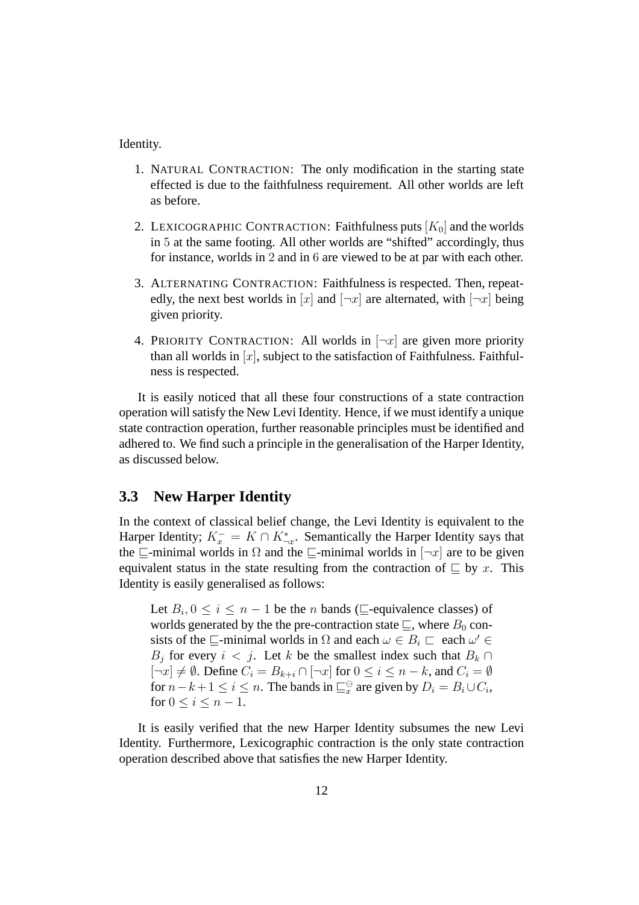Identity.

- 1. NATURAL CONTRACTION: The only modification in the starting state effected is due to the faithfulness requirement. All other worlds are left as before.
- 2. LEXICOGRAPHIC CONTRACTION: Faithfulness puts  $[K_0]$  and the worlds in 5 at the same footing. All other worlds are "shifted" accordingly, thus for instance, worlds in 2 and in 6 are viewed to be at par with each other.
- 3. ALTERNATING CONTRACTION: Faithfulness is respected. Then, repeatedly, the next best worlds in [x] and  $[\neg x]$  are alternated, with  $[\neg x]$  being given priority.
- 4. PRIORITY CONTRACTION: All worlds in  $[\neg x]$  are given more priority than all worlds in  $[x]$ , subject to the satisfaction of Faithfulness. Faithfulness is respected.

It is easily noticed that all these four constructions of a state contraction operation will satisfy the New Levi Identity. Hence, if we must identify a unique state contraction operation, further reasonable principles must be identified and adhered to. We find such a principle in the generalisation of the Harper Identity, as discussed below.

#### **3.3 New Harper Identity**

In the context of classical belief change, the Levi Identity is equivalent to the Harper Identity;  $K_x^- = K \cap K_{-x}^*$ . Semantically the Harper Identity says that the  $\sqsubseteq$ -minimal worlds in  $\Omega$  and the  $\sqsubseteq$ -minimal worlds in  $[\neg x]$  are to be given equivalent status in the state resulting from the contraction of  $\subseteq$  by x. This Identity is easily generalised as follows:

Let  $B_i$ ,  $0 \le i \le n-1$  be the *n* bands ( $\sqsubseteq$ -equivalence classes) of worlds generated by the the pre-contraction state  $\sqsubseteq$ , where  $B_0$  consists of the  $\sqsubseteq$ -minimal worlds in  $\Omega$  and each  $\omega \in B_i \sqsubset$  each  $\omega' \in$  $B_j$  for every  $i < j$ . Let k be the smallest index such that  $B_k \cap$  $[\neg x] \neq \emptyset$ . Define  $C_i = B_{k+i} \cap [\neg x]$  for  $0 \leq i \leq n-k$ , and  $C_i = \emptyset$ for  $n - k + 1 \le i \le n$ . The bands in  $\sqsubseteq_{x}^{\ominus}$  are given by  $D_i = B_i \cup C_i$ , for  $0 \le i \le n - 1$ .

It is easily verified that the new Harper Identity subsumes the new Levi Identity. Furthermore, Lexicographic contraction is the only state contraction operation described above that satisfies the new Harper Identity.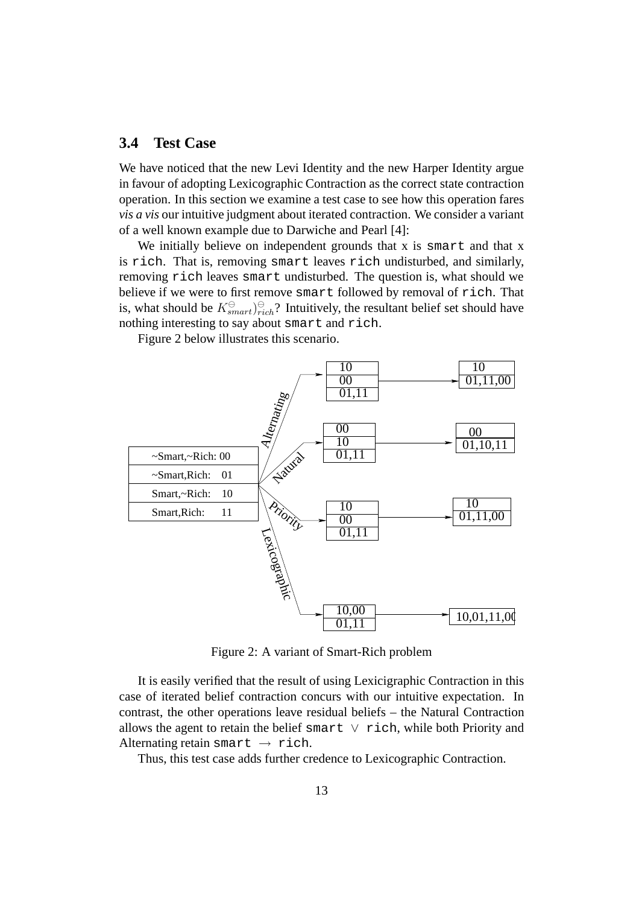### **3.4 Test Case**

We have noticed that the new Levi Identity and the new Harper Identity argue in favour of adopting Lexicographic Contraction as the correct state contraction operation. In this section we examine a test case to see how this operation fares *vis a vis* our intuitive judgment about iterated contraction. We consider a variant of a well known example due to Darwiche and Pearl [4]:

We initially believe on independent grounds that x is smart and that x is rich. That is, removing smart leaves rich undisturbed, and similarly, removing rich leaves smart undisturbed. The question is, what should we believe if we were to first remove smart followed by removal of rich. That is, what should be  $K^{\ominus}_{smart}$ ,  $\hat{\theta}$ ? Intuitively, the resultant belief set should have nothing interesting to say about smart and rich.

Figure 2 below illustrates this scenario.



Figure 2: A variant of Smart-Rich problem

It is easily verified that the result of using Lexicigraphic Contraction in this case of iterated belief contraction concurs with our intuitive expectation. In contrast, the other operations leave residual beliefs – the Natural Contraction allows the agent to retain the belief smart  $\vee$  rich, while both Priority and Alternating retain smart  $\rightarrow$  rich.

Thus, this test case adds further credence to Lexicographic Contraction.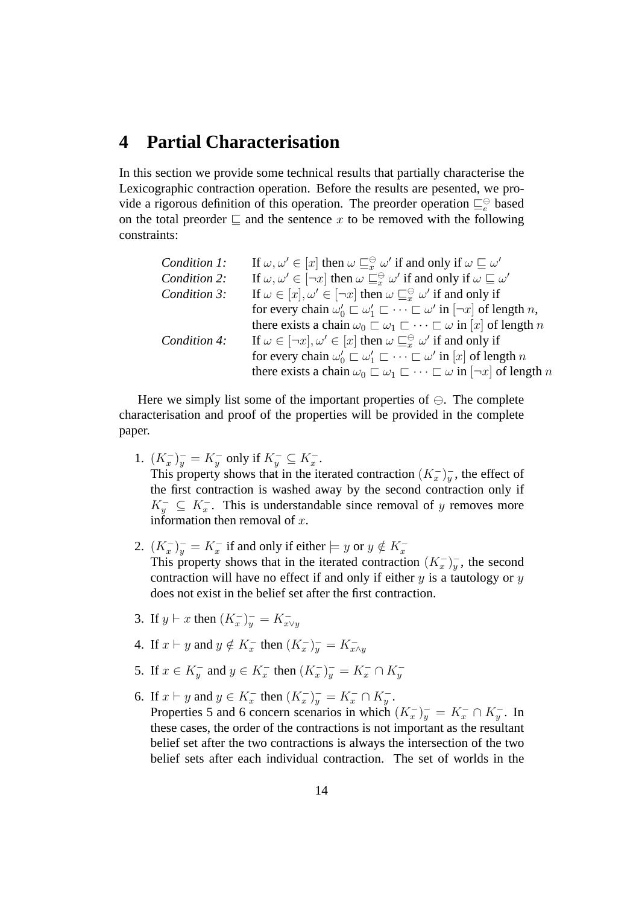# **4 Partial Characterisation**

In this section we provide some technical results that partially characterise the Lexicographic contraction operation. Before the results are pesented, we provide a rigorous definition of this operation. The preorder operation  $\sqsubseteq_e^{\ominus}$  based on the total preorder  $\Box$  and the sentence x to be removed with the following constraints:

| Condition 1: | If $\omega, \omega' \in [x]$ then $\omega \sqsubseteq_{x}^{\ominus} \omega'$ if and only if $\omega \sqsubset \omega'$        |
|--------------|-------------------------------------------------------------------------------------------------------------------------------|
| Condition 2: | If $\omega, \omega' \in [\neg x]$ then $\omega \sqsubseteq_{x}^{\ominus} \omega'$ if and only if $\omega \sqsubseteq \omega'$ |
| Condition 3: | If $\omega \in [x], \omega' \in [\neg x]$ then $\omega \sqsubseteq^{\ominus}_x \omega'$ if and only if                        |
|              | for every chain $\omega'_0 \sqsubset \omega'_1 \sqsubset \cdots \sqsubset \omega'$ in $[\neg x]$ of length n,                 |
|              | there exists a chain $\omega_0 \sqsubset \omega_1 \sqsubset \cdots \sqsubset \omega$ in [x] of length n                       |
| Condition 4: | If $\omega \in [\neg x], \omega' \in [x]$ then $\omega \sqsubseteq_{x}^{\ominus} \omega'$ if and only if                      |
|              | for every chain $\omega'_0 \sqsubset \omega'_1 \sqsubset \cdots \sqsubset \omega'$ in $[x]$ of length n                       |
|              | there exists a chain $\omega_0 \sqsubset \omega_1 \sqsubset \cdots \sqsubset \omega$ in $[\neg x]$ of length n                |

Here we simply list some of the important properties of  $\ominus$ . The complete characterisation and proof of the properties will be provided in the complete paper.

- 1.  $(K_x^-)_y^- = K_y^-$  only if  $K_y^- \subseteq K_x^-$ . This property shows that in the iterated contraction  $(K_x^-)_y^-$ , the effect of the first contraction is washed away by the second contraction only if  $K_y^- \subseteq K_x^-$ . This is understandable since removal of y removes more information then removal of  $x$ .
- 2.  $(K_x^-)_y^- = K_x^-$  if and only if either  $\models y$  or  $y \notin K_x^-$ This property shows that in the iterated contraction  $(K_x^-)_y^-$ , the second contraction will have no effect if and only if either  $y$  is a tautology or  $y$ does not exist in the belief set after the first contraction.
- 3. If  $y \vdash x$  then  $(K_x^-)_y^- = K_{x \vee y}^-$
- 4. If  $x \vdash y$  and  $y \notin K_x^-$  then  $(K_x^-)_y^- = K_{x \wedge y}^-$
- 5. If  $x \in K_y^-$  and  $y \in K_x^-$  then  $(K_x^-)_y^- = K_x^- \cap K_y^-$
- 6. If  $x \vdash y$  and  $y \in K_x^-$  then  $(K_x^-)_y^- = K_x^- \cap K_y^-$ . Properties 5 and 6 concern scenarios in which  $(K_x^-)_y^- = K_x^- \cap K_y^-$ . In these cases, the order of the contractions is not important as the resultant belief set after the two contractions is always the intersection of the two belief sets after each individual contraction. The set of worlds in the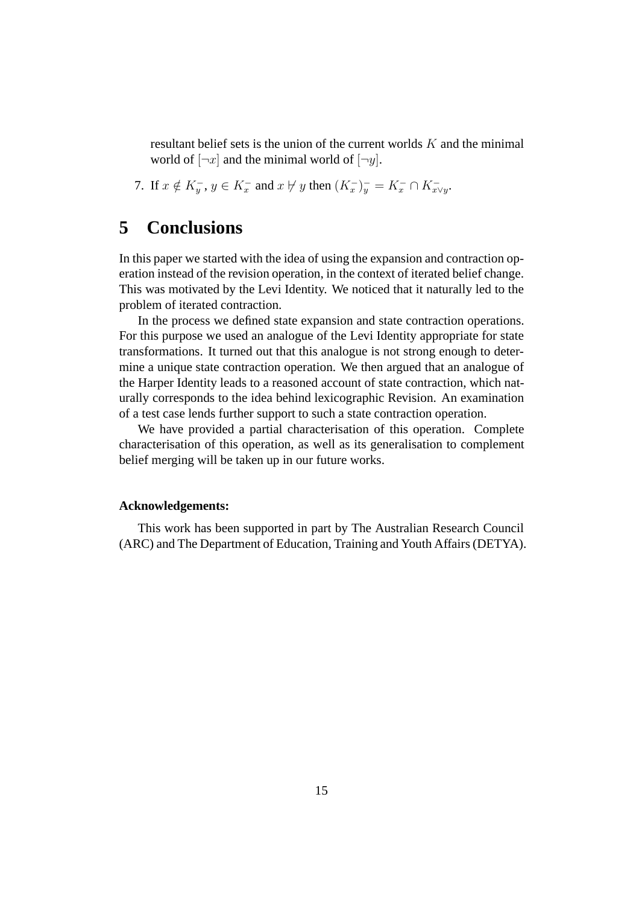resultant belief sets is the union of the current worlds  $K$  and the minimal world of  $[\neg x]$  and the minimal world of  $[\neg y]$ .

7. If  $x \notin K_y^-$ ,  $y \in K_x^-$  and  $x \not\vdash y$  then  $(K_x^-)_y^- = K_x^- \cap K_{x \vee y}^-$ .

### **5 Conclusions**

In this paper we started with the idea of using the expansion and contraction operation instead of the revision operation, in the context of iterated belief change. This was motivated by the Levi Identity. We noticed that it naturally led to the problem of iterated contraction.

In the process we defined state expansion and state contraction operations. For this purpose we used an analogue of the Levi Identity appropriate for state transformations. It turned out that this analogue is not strong enough to determine a unique state contraction operation. We then argued that an analogue of the Harper Identity leads to a reasoned account of state contraction, which naturally corresponds to the idea behind lexicographic Revision. An examination of a test case lends further support to such a state contraction operation.

We have provided a partial characterisation of this operation. Complete characterisation of this operation, as well as its generalisation to complement belief merging will be taken up in our future works.

#### **Acknowledgements:**

This work has been supported in part by The Australian Research Council (ARC) and The Department of Education, Training and Youth Affairs (DETYA).